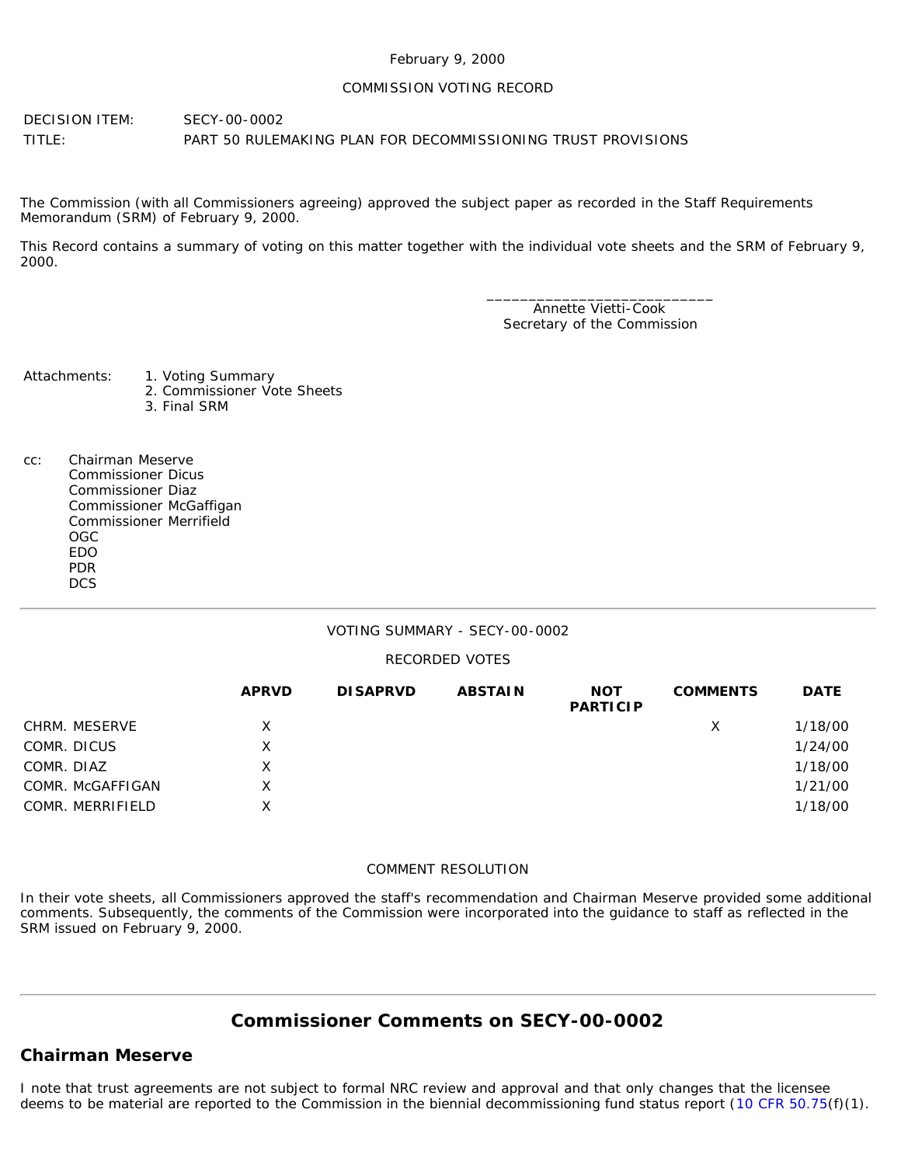## February 9, 2000

## COMMISSION VOTING RECORD

DECISION ITEM: SECY-00-0002 TITLE: PART 50 RULEMAKING PLAN FOR DECOMMISSIONING TRUST PROVISIONS

The Commission (with all Commissioners agreeing) approved the subject paper as recorded in the Staff Requirements Memorandum (SRM) of February 9, 2000.

This Record contains a summary of voting on this matter together with the individual vote sheets and the SRM of February 9, 2000.

> \_\_\_\_\_\_\_\_\_\_\_\_\_\_\_\_\_\_\_\_\_\_\_\_\_\_\_ Annette Vietti-Cook Secretary of the Commission

Attachments: 1. Voting Summary

- 2. Commissioner Vote Sheets
	- 3. Final SRM
- cc: Chairman Meserve Commissioner Dicus Commissioner Diaz Commissioner McGaffigan Commissioner Merrifield OGC EDO PDR **DCS**

## VOTING SUMMARY - SECY-00-0002

## RECORDED VOTES

|                  | <b>APRVD</b> | <b>DISAPRVD</b> | <b>ABSTAIN</b> | <b>NOT</b><br><b>PARTICIP</b> | <b>COMMENTS</b> | <b>DATE</b> |
|------------------|--------------|-----------------|----------------|-------------------------------|-----------------|-------------|
| CHRM. MESERVE    | X            |                 |                |                               | X               | 1/18/00     |
| COMR. DICUS      | X            |                 |                |                               |                 | 1/24/00     |
| COMR. DIAZ       | X            |                 |                |                               |                 | 1/18/00     |
| COMR. McGAFFIGAN | X.           |                 |                |                               |                 | 1/21/00     |
| COMR. MERRIFIELD | x            |                 |                |                               |                 | 1/18/00     |

## COMMENT RESOLUTION

In their vote sheets, all Commissioners approved the staff's recommendation and Chairman Meserve provided some additional comments. Subsequently, the comments of the Commission were incorporated into the guidance to staff as reflected in the SRM issued on February 9, 2000.

# **Commissioner Comments on [SECY-00-0002](http://www.nrc.gov/reading-rm/doc-collections/commission/secys/2000/secy2000-0002/2000-0002scy.html)**

## **Chairman Meserve**

I note that trust agreements are not subject to formal NRC review and approval and that only changes that the licensee deems to be material are reported to the Commission in the biennial decommissioning fund status report ([10 CFR 50.75\(](http://www.nrc.gov/reading-rm/doc-collections/cfr/part050/part050-0075.html)f)(1).